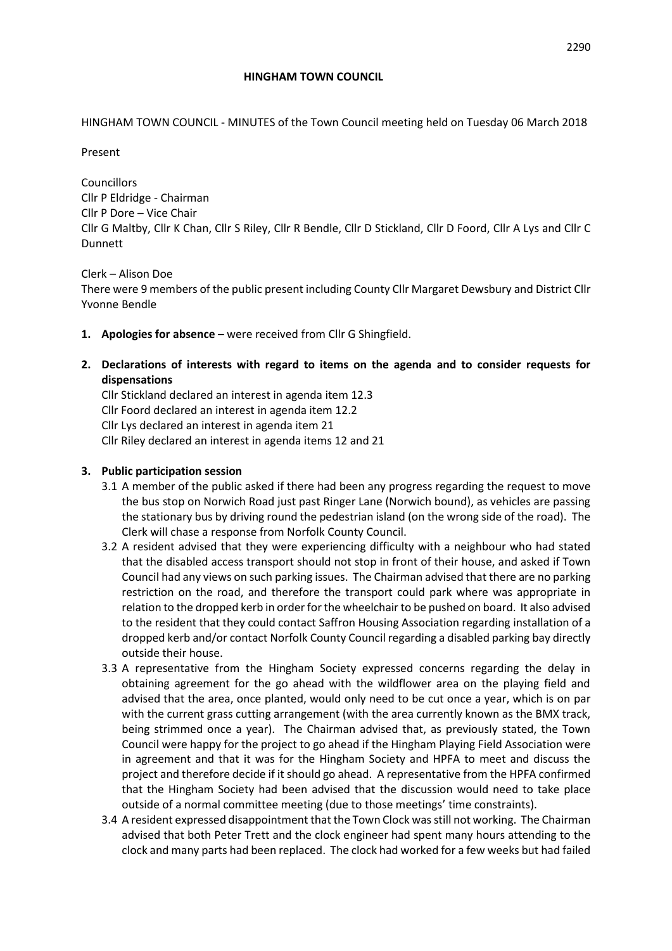HINGHAM TOWN COUNCIL - MINUTES of the Town Council meeting held on Tuesday 06 March 2018

Present

Councillors Cllr P Eldridge - Chairman Cllr P Dore – Vice Chair Cllr G Maltby, Cllr K Chan, Cllr S Riley, Cllr R Bendle, Cllr D Stickland, Cllr D Foord, Cllr A Lys and Cllr C Dunnett

### Clerk – Alison Doe

There were 9 members of the public present including County Cllr Margaret Dewsbury and District Cllr Yvonne Bendle

- **1. Apologies for absence**  were received from Cllr G Shingfield.
- **2. Declarations of interests with regard to items on the agenda and to consider requests for dispensations**

Cllr Stickland declared an interest in agenda item 12.3 Cllr Foord declared an interest in agenda item 12.2 Cllr Lys declared an interest in agenda item 21 Cllr Riley declared an interest in agenda items 12 and 21

## **3. Public participation session**

- 3.1 A member of the public asked if there had been any progress regarding the request to move the bus stop on Norwich Road just past Ringer Lane (Norwich bound), as vehicles are passing the stationary bus by driving round the pedestrian island (on the wrong side of the road). The Clerk will chase a response from Norfolk County Council.
- 3.2 A resident advised that they were experiencing difficulty with a neighbour who had stated that the disabled access transport should not stop in front of their house, and asked if Town Council had any views on such parking issues. The Chairman advised that there are no parking restriction on the road, and therefore the transport could park where was appropriate in relation to the dropped kerb in order for the wheelchair to be pushed on board. It also advised to the resident that they could contact Saffron Housing Association regarding installation of a dropped kerb and/or contact Norfolk County Council regarding a disabled parking bay directly outside their house.
- 3.3 A representative from the Hingham Society expressed concerns regarding the delay in obtaining agreement for the go ahead with the wildflower area on the playing field and advised that the area, once planted, would only need to be cut once a year, which is on par with the current grass cutting arrangement (with the area currently known as the BMX track, being strimmed once a year). The Chairman advised that, as previously stated, the Town Council were happy for the project to go ahead if the Hingham Playing Field Association were in agreement and that it was for the Hingham Society and HPFA to meet and discuss the project and therefore decide if it should go ahead. A representative from the HPFA confirmed that the Hingham Society had been advised that the discussion would need to take place outside of a normal committee meeting (due to those meetings' time constraints).
- 3.4 A resident expressed disappointment that the Town Clock was still not working. The Chairman advised that both Peter Trett and the clock engineer had spent many hours attending to the clock and many parts had been replaced. The clock had worked for a few weeks but had failed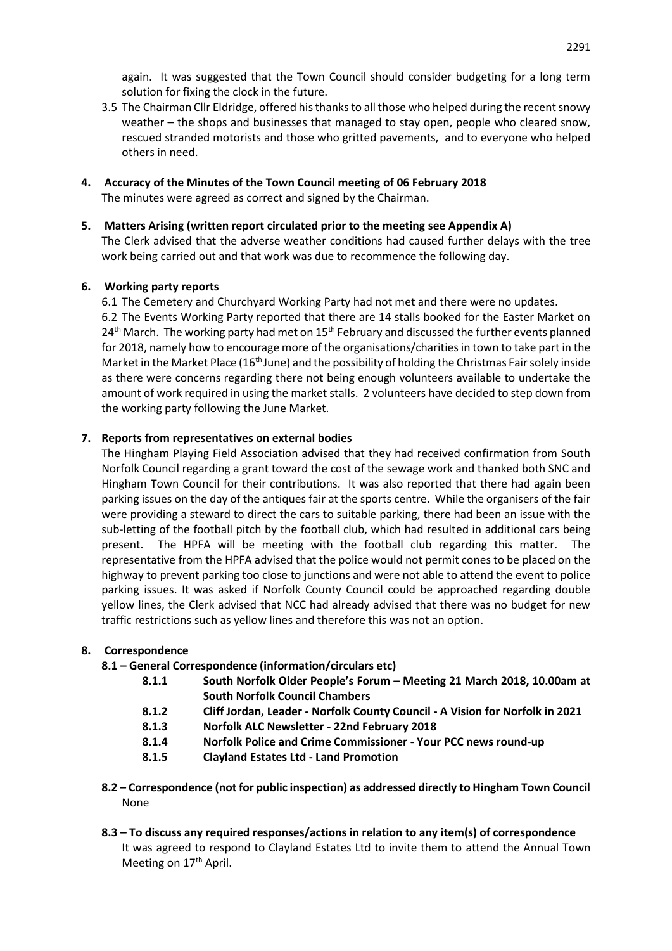again. It was suggested that the Town Council should consider budgeting for a long term solution for fixing the clock in the future.

- 3.5 The Chairman Cllr Eldridge, offered his thanks to all those who helped during the recent snowy weather – the shops and businesses that managed to stay open, people who cleared snow, rescued stranded motorists and those who gritted pavements, and to everyone who helped others in need.
- **4. Accuracy of the Minutes of the Town Council meeting of 06 February 2018** The minutes were agreed as correct and signed by the Chairman.

### **5. Matters Arising (written report circulated prior to the meeting see Appendix A)**

The Clerk advised that the adverse weather conditions had caused further delays with the tree work being carried out and that work was due to recommence the following day.

## **6. Working party reports**

6.1 The Cemetery and Churchyard Working Party had not met and there were no updates. 6.2 The Events Working Party reported that there are 14 stalls booked for the Easter Market on  $24<sup>th</sup>$  March. The working party had met on  $15<sup>th</sup>$  February and discussed the further events planned for 2018, namely how to encourage more of the organisations/charities in town to take part in the Market in the Market Place (16<sup>th</sup> June) and the possibility of holding the Christmas Fair solely inside as there were concerns regarding there not being enough volunteers available to undertake the amount of work required in using the market stalls. 2 volunteers have decided to step down from the working party following the June Market.

## **7. Reports from representatives on external bodies**

The Hingham Playing Field Association advised that they had received confirmation from South Norfolk Council regarding a grant toward the cost of the sewage work and thanked both SNC and Hingham Town Council for their contributions. It was also reported that there had again been parking issues on the day of the antiques fair at the sports centre. While the organisers of the fair were providing a steward to direct the cars to suitable parking, there had been an issue with the sub-letting of the football pitch by the football club, which had resulted in additional cars being present. The HPFA will be meeting with the football club regarding this matter. The representative from the HPFA advised that the police would not permit cones to be placed on the highway to prevent parking too close to junctions and were not able to attend the event to police parking issues. It was asked if Norfolk County Council could be approached regarding double yellow lines, the Clerk advised that NCC had already advised that there was no budget for new traffic restrictions such as yellow lines and therefore this was not an option.

### **8. Correspondence**

- **8.1 – General Correspondence (information/circulars etc)**
	- **8.1.1 South Norfolk Older People's Forum – Meeting 21 March 2018, 10.00am at South Norfolk Council Chambers**
	- **8.1.2 Cliff Jordan, Leader - Norfolk County Council - A Vision for Norfolk in 2021**
	- **8.1.3 Norfolk ALC Newsletter - 22nd February 2018**
	- **8.1.4 Norfolk Police and Crime Commissioner - Your PCC news round-up**
	- **8.1.5 Clayland Estates Ltd - Land Promotion**
- **8.2 – Correspondence (not for public inspection) as addressed directly to Hingham Town Council** None
- **8.3 – To discuss any required responses/actions in relation to any item(s) of correspondence** It was agreed to respond to Clayland Estates Ltd to invite them to attend the Annual Town Meeting on 17<sup>th</sup> April.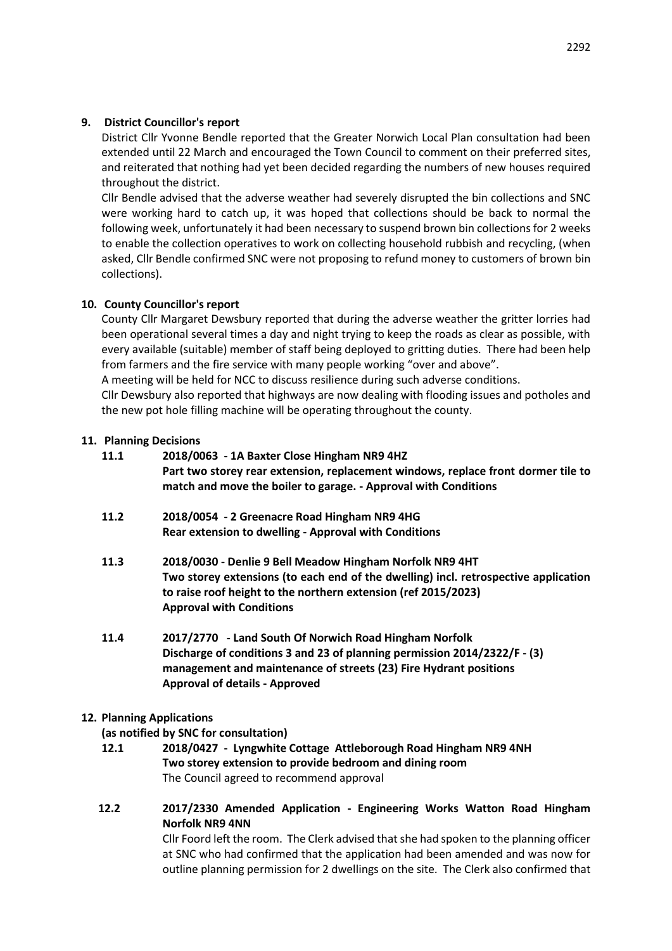## **9. District Councillor's report**

District Cllr Yvonne Bendle reported that the Greater Norwich Local Plan consultation had been extended until 22 March and encouraged the Town Council to comment on their preferred sites, and reiterated that nothing had yet been decided regarding the numbers of new houses required throughout the district.

Cllr Bendle advised that the adverse weather had severely disrupted the bin collections and SNC were working hard to catch up, it was hoped that collections should be back to normal the following week, unfortunately it had been necessary to suspend brown bin collections for 2 weeks to enable the collection operatives to work on collecting household rubbish and recycling, (when asked, Cllr Bendle confirmed SNC were not proposing to refund money to customers of brown bin collections).

## **10. County Councillor's report**

County Cllr Margaret Dewsbury reported that during the adverse weather the gritter lorries had been operational several times a day and night trying to keep the roads as clear as possible, with every available (suitable) member of staff being deployed to gritting duties. There had been help from farmers and the fire service with many people working "over and above".

A meeting will be held for NCC to discuss resilience during such adverse conditions.

Cllr Dewsbury also reported that highways are now dealing with flooding issues and potholes and the new pot hole filling machine will be operating throughout the county.

### **11. Planning Decisions**

- **11.1 2018/0063 - 1A Baxter Close Hingham NR9 4HZ Part two storey rear extension, replacement windows, replace front dormer tile to match and move the boiler to garage. - Approval with Conditions**
- **11.2 2018/0054 - 2 Greenacre Road Hingham NR9 4HG Rear extension to dwelling - Approval with Conditions**
- **11.3 2018/0030 - Denlie 9 Bell Meadow Hingham Norfolk NR9 4HT Two storey extensions (to each end of the dwelling) incl. retrospective application to raise roof height to the northern extension (ref 2015/2023) Approval with Conditions**
- **11.4 2017/2770 - Land South Of Norwich Road Hingham Norfolk Discharge of conditions 3 and 23 of planning permission 2014/2322/F - (3) management and maintenance of streets (23) Fire Hydrant positions Approval of details - Approved**

### **12. Planning Applications**

### **(as notified by SNC for consultation)**

- **12.1 2018/0427 - Lyngwhite Cottage Attleborough Road Hingham NR9 4NH Two storey extension to provide bedroom and dining room** The Council agreed to recommend approval
- **12.2 2017/2330 Amended Application - Engineering Works Watton Road Hingham Norfolk NR9 4NN**

Cllr Foord left the room. The Clerk advised that she had spoken to the planning officer at SNC who had confirmed that the application had been amended and was now for outline planning permission for 2 dwellings on the site. The Clerk also confirmed that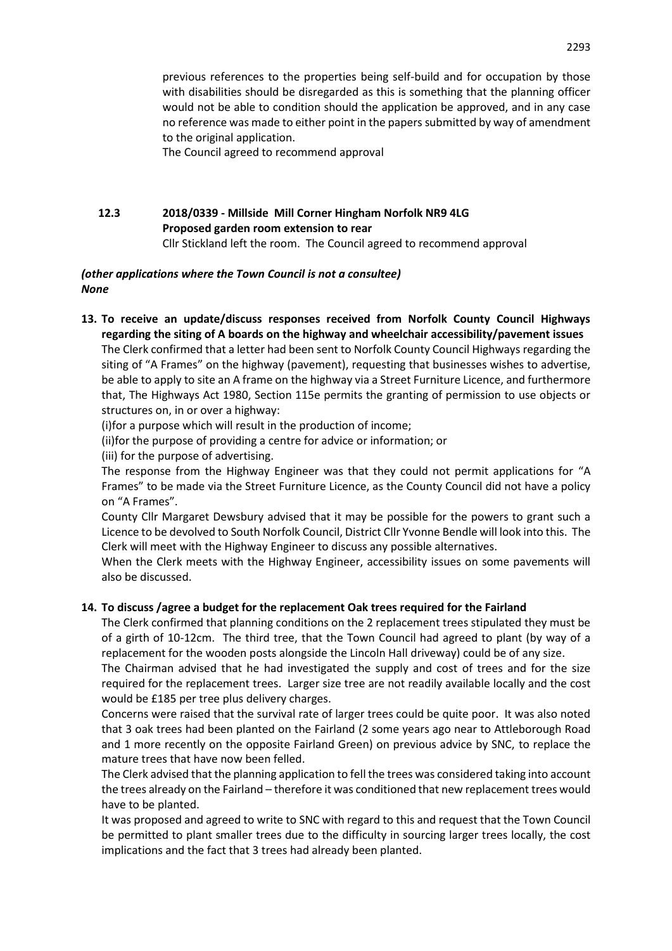previous references to the properties being self-build and for occupation by those with disabilities should be disregarded as this is something that the planning officer would not be able to condition should the application be approved, and in any case no reference was made to either point in the papers submitted by way of amendment to the original application.

The Council agreed to recommend approval

# **12.3 2018/0339 - Millside Mill Corner Hingham Norfolk NR9 4LG Proposed garden room extension to rear**

Cllr Stickland left the room.The Council agreed to recommend approval

## *(other applications where the Town Council is not a consultee) None*

**13. To receive an update/discuss responses received from Norfolk County Council Highways regarding the siting of A boards on the highway and wheelchair accessibility/pavement issues**  The Clerk confirmed that a letter had been sent to Norfolk County Council Highways regarding the siting of "A Frames" on the highway (pavement), requesting that businesses wishes to advertise, be able to apply to site an A frame on the highway via a Street Furniture Licence, and furthermore that, The Highways Act 1980, Section 115e permits the granting of permission to use objects or structures on, in or over a highway:

(i)for a purpose which will result in the production of income;

- (ii)for the purpose of providing a centre for advice or information; or
- (iii) for the purpose of advertising.

The response from the Highway Engineer was that they could not permit applications for "A Frames" to be made via the Street Furniture Licence, as the County Council did not have a policy on "A Frames".

County Cllr Margaret Dewsbury advised that it may be possible for the powers to grant such a Licence to be devolved to South Norfolk Council, District Cllr Yvonne Bendle will look into this. The Clerk will meet with the Highway Engineer to discuss any possible alternatives.

When the Clerk meets with the Highway Engineer, accessibility issues on some pavements will also be discussed.

## **14. To discuss /agree a budget for the replacement Oak trees required for the Fairland**

The Clerk confirmed that planning conditions on the 2 replacement trees stipulated they must be of a girth of 10-12cm. The third tree, that the Town Council had agreed to plant (by way of a replacement for the wooden posts alongside the Lincoln Hall driveway) could be of any size.

The Chairman advised that he had investigated the supply and cost of trees and for the size required for the replacement trees. Larger size tree are not readily available locally and the cost would be £185 per tree plus delivery charges.

Concerns were raised that the survival rate of larger trees could be quite poor. It was also noted that 3 oak trees had been planted on the Fairland (2 some years ago near to Attleborough Road and 1 more recently on the opposite Fairland Green) on previous advice by SNC, to replace the mature trees that have now been felled.

The Clerk advised that the planning application to fell the trees was considered taking into account the trees already on the Fairland – therefore it was conditioned that new replacement trees would have to be planted.

It was proposed and agreed to write to SNC with regard to this and request that the Town Council be permitted to plant smaller trees due to the difficulty in sourcing larger trees locally, the cost implications and the fact that 3 trees had already been planted.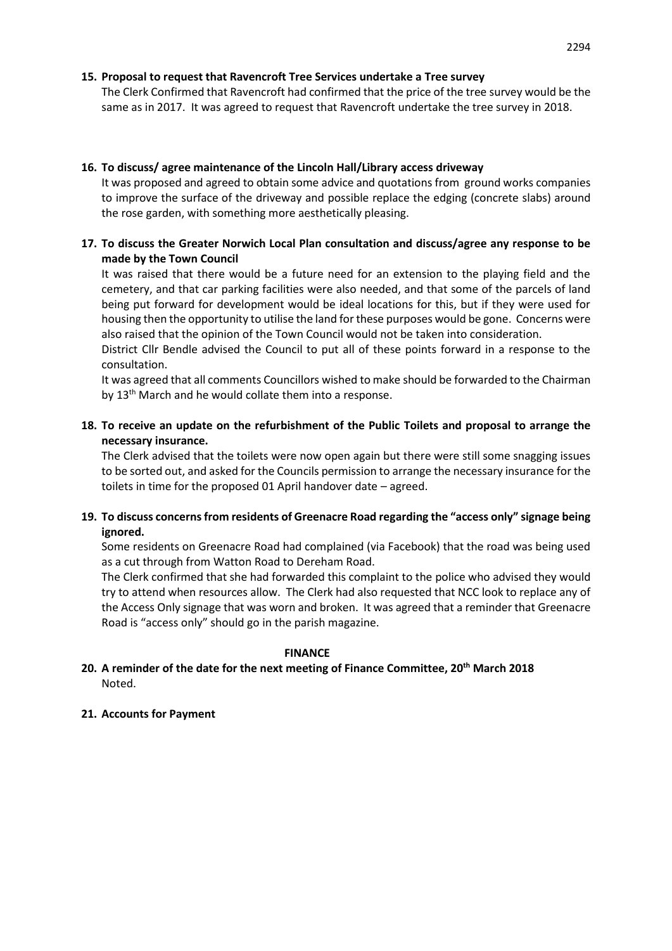## **15. Proposal to request that Ravencroft Tree Services undertake a Tree survey**

The Clerk Confirmed that Ravencroft had confirmed that the price of the tree survey would be the same as in 2017. It was agreed to request that Ravencroft undertake the tree survey in 2018.

## **16. To discuss/ agree maintenance of the Lincoln Hall/Library access driveway**

It was proposed and agreed to obtain some advice and quotations from ground works companies to improve the surface of the driveway and possible replace the edging (concrete slabs) around the rose garden, with something more aesthetically pleasing.

## **17. To discuss the Greater Norwich Local Plan consultation and discuss/agree any response to be made by the Town Council**

It was raised that there would be a future need for an extension to the playing field and the cemetery, and that car parking facilities were also needed, and that some of the parcels of land being put forward for development would be ideal locations for this, but if they were used for housing then the opportunity to utilise the land for these purposes would be gone. Concerns were also raised that the opinion of the Town Council would not be taken into consideration.

District Cllr Bendle advised the Council to put all of these points forward in a response to the consultation.

It was agreed that all comments Councillors wished to make should be forwarded to the Chairman by 13<sup>th</sup> March and he would collate them into a response.

## **18. To receive an update on the refurbishment of the Public Toilets and proposal to arrange the necessary insurance.**

The Clerk advised that the toilets were now open again but there were still some snagging issues to be sorted out, and asked for the Councils permission to arrange the necessary insurance for the toilets in time for the proposed 01 April handover date – agreed.

## **19. To discuss concerns from residents of Greenacre Road regarding the "access only" signage being ignored.**

Some residents on Greenacre Road had complained (via Facebook) that the road was being used as a cut through from Watton Road to Dereham Road.

The Clerk confirmed that she had forwarded this complaint to the police who advised they would try to attend when resources allow. The Clerk had also requested that NCC look to replace any of the Access Only signage that was worn and broken. It was agreed that a reminder that Greenacre Road is "access only" should go in the parish magazine.

### **FINANCE**

## **20. A reminder of the date for the next meeting of Finance Committee, 20th March 2018** Noted.

### **21. Accounts for Payment**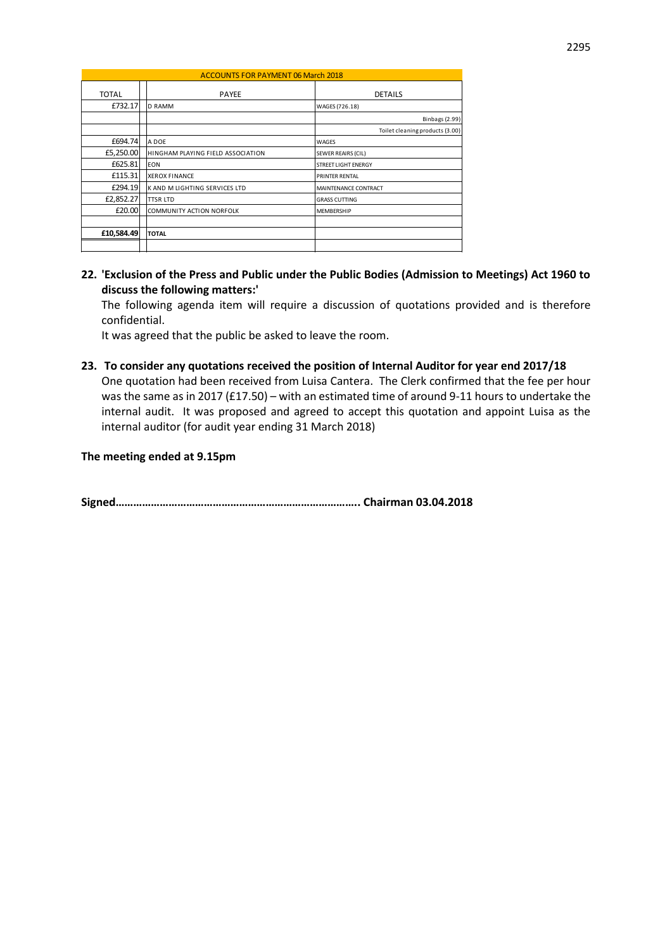| <b>ACCOUNTS FOR PAYMENT 06 March 2018</b> |  |                                   |                                 |
|-------------------------------------------|--|-----------------------------------|---------------------------------|
| <b>TOTAL</b>                              |  | <b>PAYEE</b>                      | <b>DETAILS</b>                  |
| £732.17                                   |  | <b>D RAMM</b>                     | WAGES (726.18)                  |
|                                           |  |                                   | <b>Binbags (2.99)</b>           |
|                                           |  |                                   | Toilet cleaning products (3.00) |
| £694.74                                   |  | A DOE                             | WAGES                           |
| £5,250.00                                 |  | HINGHAM PLAYING FIELD ASSOCIATION | <b>SEWER REAIRS (CIL)</b>       |
| £625.81                                   |  | <b>EON</b>                        | <b>STREET LIGHT ENERGY</b>      |
| £115.31                                   |  | <b>XEROX FINANCE</b>              | <b>PRINTER RENTAL</b>           |
| £294.19                                   |  | K AND M LIGHTING SERVICES LTD     | MAINTENANCE CONTRACT            |
| £2,852.27                                 |  | <b>TTSR LTD</b>                   | <b>GRASS CUTTING</b>            |
| £20.00                                    |  | COMMUNITY ACTION NORFOLK          | <b>MEMBERSHIP</b>               |
|                                           |  |                                   |                                 |
| £10,584.49                                |  | <b>TOTAL</b>                      |                                 |
|                                           |  |                                   |                                 |

**22. 'Exclusion of the Press and Public under the Public Bodies (Admission to Meetings) Act 1960 to discuss the following matters:'** 

The following agenda item will require a discussion of quotations provided and is therefore confidential.

It was agreed that the public be asked to leave the room.

**23. To consider any quotations received the position of Internal Auditor for year end 2017/18** One quotation had been received from Luisa Cantera. The Clerk confirmed that the fee per hour was the same as in 2017 (£17.50) – with an estimated time of around 9-11 hours to undertake the internal audit. It was proposed and agreed to accept this quotation and appoint Luisa as the internal auditor (for audit year ending 31 March 2018)

#### **The meeting ended at 9.15pm**

**Signed……………………………………………………………………….. Chairman 03.04.2018**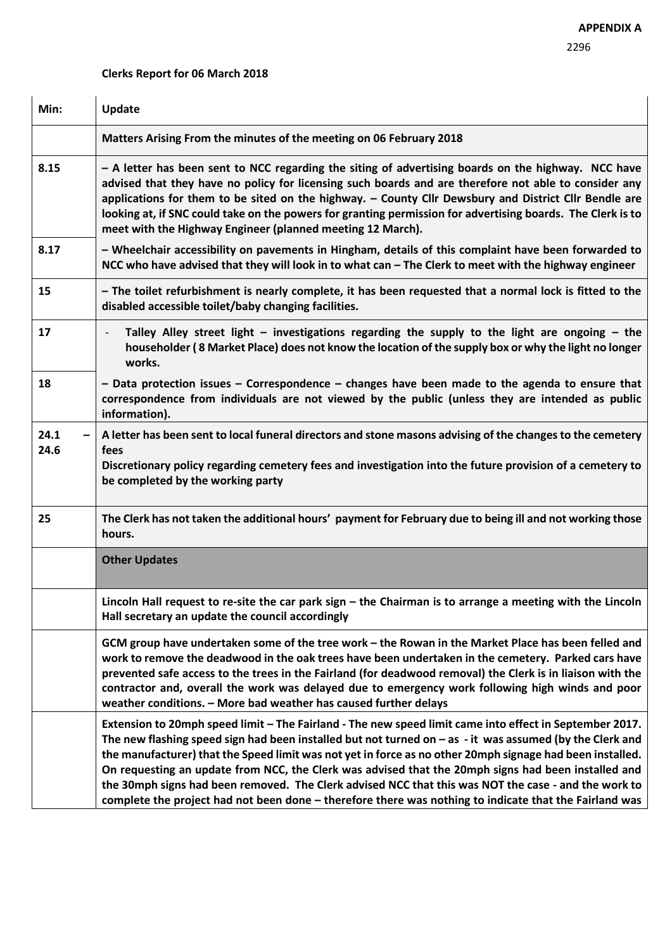## **Clerks Report for 06 March 2018**

| Min:         | Update                                                                                                                                                                                                                                                                                                                                                                                                                                                                                                                                                                                                                                                        |
|--------------|---------------------------------------------------------------------------------------------------------------------------------------------------------------------------------------------------------------------------------------------------------------------------------------------------------------------------------------------------------------------------------------------------------------------------------------------------------------------------------------------------------------------------------------------------------------------------------------------------------------------------------------------------------------|
|              | Matters Arising From the minutes of the meeting on 06 February 2018                                                                                                                                                                                                                                                                                                                                                                                                                                                                                                                                                                                           |
| 8.15         | - A letter has been sent to NCC regarding the siting of advertising boards on the highway. NCC have<br>advised that they have no policy for licensing such boards and are therefore not able to consider any<br>applications for them to be sited on the highway. - County Cllr Dewsbury and District Cllr Bendle are<br>looking at, if SNC could take on the powers for granting permission for advertising boards. The Clerk is to<br>meet with the Highway Engineer (planned meeting 12 March).                                                                                                                                                            |
| 8.17         | - Wheelchair accessibility on pavements in Hingham, details of this complaint have been forwarded to<br>NCC who have advised that they will look in to what can - The Clerk to meet with the highway engineer                                                                                                                                                                                                                                                                                                                                                                                                                                                 |
| 15           | - The toilet refurbishment is nearly complete, it has been requested that a normal lock is fitted to the<br>disabled accessible toilet/baby changing facilities.                                                                                                                                                                                                                                                                                                                                                                                                                                                                                              |
| 17           | Talley Alley street light $-$ investigations regarding the supply to the light are ongoing $-$ the<br>householder (8 Market Place) does not know the location of the supply box or why the light no longer<br>works.                                                                                                                                                                                                                                                                                                                                                                                                                                          |
| 18           | $-$ Data protection issues $-$ Correspondence $-$ changes have been made to the agenda to ensure that<br>correspondence from individuals are not viewed by the public (unless they are intended as public<br>information).                                                                                                                                                                                                                                                                                                                                                                                                                                    |
| 24.1<br>24.6 | A letter has been sent to local funeral directors and stone masons advising of the changes to the cemetery<br>fees<br>Discretionary policy regarding cemetery fees and investigation into the future provision of a cemetery to<br>be completed by the working party                                                                                                                                                                                                                                                                                                                                                                                          |
| 25           | The Clerk has not taken the additional hours' payment for February due to being ill and not working those<br>hours.                                                                                                                                                                                                                                                                                                                                                                                                                                                                                                                                           |
|              | <b>Other Updates</b>                                                                                                                                                                                                                                                                                                                                                                                                                                                                                                                                                                                                                                          |
|              | Lincoln Hall request to re-site the car park sign $-$ the Chairman is to arrange a meeting with the Lincoln<br>Hall secretary an update the council accordingly                                                                                                                                                                                                                                                                                                                                                                                                                                                                                               |
|              | GCM group have undertaken some of the tree work - the Rowan in the Market Place has been felled and<br>work to remove the deadwood in the oak trees have been undertaken in the cemetery. Parked cars have<br>prevented safe access to the trees in the Fairland (for deadwood removal) the Clerk is in liaison with the<br>contractor and, overall the work was delayed due to emergency work following high winds and poor<br>weather conditions. - More bad weather has caused further delays                                                                                                                                                              |
|              | Extension to 20mph speed limit - The Fairland - The new speed limit came into effect in September 2017.<br>The new flashing speed sign had been installed but not turned on $-$ as $-$ it was assumed (by the Clerk and<br>the manufacturer) that the Speed limit was not yet in force as no other 20mph signage had been installed.<br>On requesting an update from NCC, the Clerk was advised that the 20mph signs had been installed and<br>the 30mph signs had been removed. The Clerk advised NCC that this was NOT the case - and the work to<br>complete the project had not been done - therefore there was nothing to indicate that the Fairland was |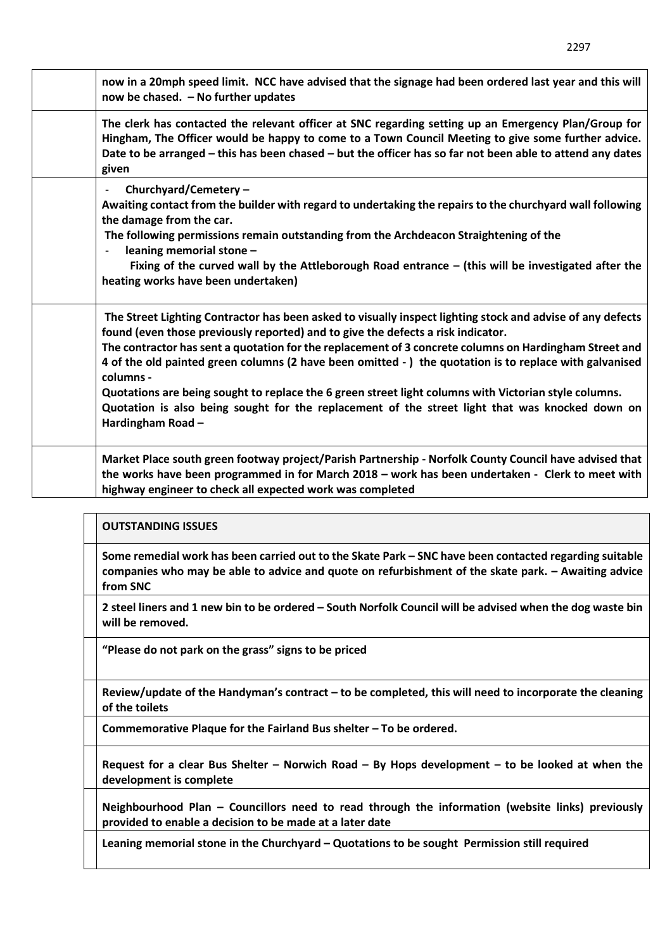| now in a 20mph speed limit. NCC have advised that the signage had been ordered last year and this will<br>now be chased. - No further updates                                                                                                                                                                                                                                                                                                                                                                                                                                                                                                                   |
|-----------------------------------------------------------------------------------------------------------------------------------------------------------------------------------------------------------------------------------------------------------------------------------------------------------------------------------------------------------------------------------------------------------------------------------------------------------------------------------------------------------------------------------------------------------------------------------------------------------------------------------------------------------------|
| The clerk has contacted the relevant officer at SNC regarding setting up an Emergency Plan/Group for<br>Hingham, The Officer would be happy to come to a Town Council Meeting to give some further advice.<br>Date to be arranged - this has been chased - but the officer has so far not been able to attend any dates<br>given                                                                                                                                                                                                                                                                                                                                |
| Churchyard/Cemetery -<br>Awaiting contact from the builder with regard to undertaking the repairs to the churchyard wall following<br>the damage from the car.<br>The following permissions remain outstanding from the Archdeacon Straightening of the<br>leaning memorial stone -<br>Fixing of the curved wall by the Attleborough Road entrance – (this will be investigated after the<br>heating works have been undertaken)                                                                                                                                                                                                                                |
| The Street Lighting Contractor has been asked to visually inspect lighting stock and advise of any defects<br>found (even those previously reported) and to give the defects a risk indicator.<br>The contractor has sent a quotation for the replacement of 3 concrete columns on Hardingham Street and<br>4 of the old painted green columns (2 have been omitted -) the quotation is to replace with galvanised<br>columns -<br>Quotations are being sought to replace the 6 green street light columns with Victorian style columns.<br>Quotation is also being sought for the replacement of the street light that was knocked down on<br>Hardingham Road- |
| Market Place south green footway project/Parish Partnership - Norfolk County Council have advised that<br>the works have been programmed in for March 2018 - work has been undertaken - Clerk to meet with<br>highway engineer to check all expected work was completed                                                                                                                                                                                                                                                                                                                                                                                         |

### **OUTSTANDING ISSUES**

**Some remedial work has been carried out to the Skate Park – SNC have been contacted regarding suitable companies who may be able to advice and quote on refurbishment of the skate park. – Awaiting advice from SNC**

**2 steel liners and 1 new bin to be ordered – South Norfolk Council will be advised when the dog waste bin will be removed.**

**"Please do not park on the grass" signs to be priced**

**Review/update of the Handyman's contract – to be completed, this will need to incorporate the cleaning of the toilets** 

**Commemorative Plaque for the Fairland Bus shelter – To be ordered.** 

**Request for a clear Bus Shelter – Norwich Road – By Hops development – to be looked at when the development is complete** 

**Neighbourhood Plan – Councillors need to read through the information (website links) previously provided to enable a decision to be made at a later date** 

**Leaning memorial stone in the Churchyard – Quotations to be sought Permission still required**